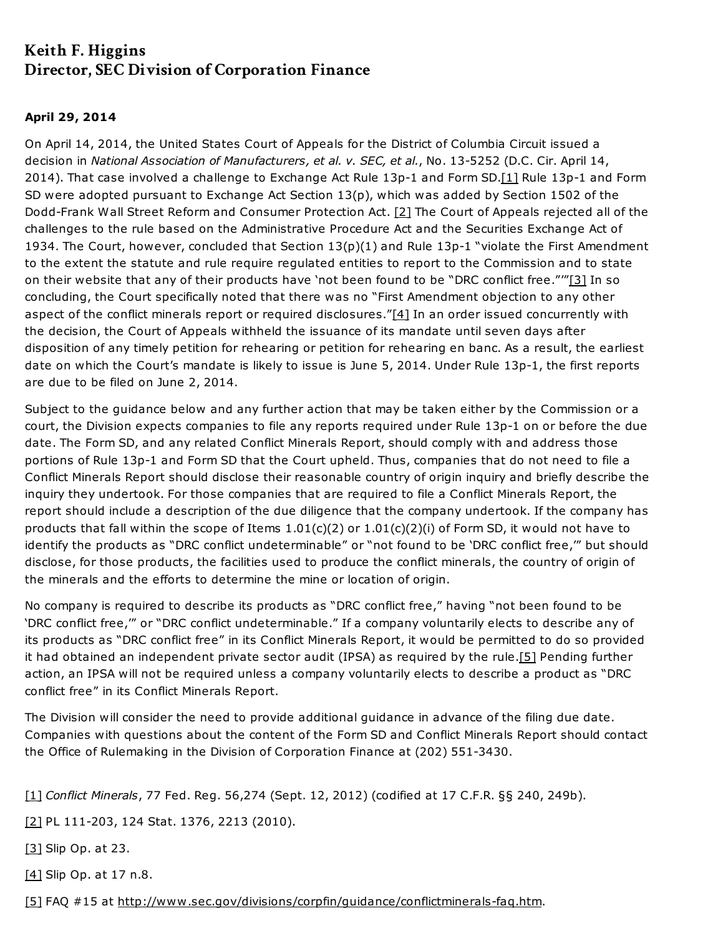## Keith F. Higgins Director, SEC Division of Corporation Finance

## April 29, 2014

<span id="page-0-6"></span><span id="page-0-5"></span>On April 14, 2014, the United States Court of Appeals for the District of Columbia Circuit issued a decision in National Association of Manufacturers, et al. v. SEC, et al., No. 13-5252 (D.C. Cir. April 14, 2014). That case involved a challenge to Exchange Act Rule 13p-1 and Form SD[.\[1\]](#page-0-0) Rule 13p-1 and Form SD were adopted pursuant to Exchange Act Section 13(p), which was added by Section 1502 of the Dodd-Frank Wall Street Reform and Consumer Protection Act. [\[2\]](#page-0-1) The Court of Appeals rejected all of the challenges to the rule based on the Administrative Procedure Act and the Securities Exchange Act of 1934. The Court, however, concluded that Section 13(p)(1) and Rule 13p-1 "violate the First Amendment to the extent the statute and rule require regulated entities to report to the Commission and to state on their website that any of their products have 'not been found to be "DRC conflict free."'["\[3\]](#page-0-2) In so concluding, the Court specifically noted that there was no "First Amendment objection to any other aspect of the conflict minerals report or required disclosures.["\[4\]](#page-0-3) In an order issued concurrently with the decision, the Court of Appeals withheld the issuance of its mandate until seven days after disposition of any timely petition for rehearing or petition for rehearing en banc. As a result, the earliest date on which the Court's mandate is likely to issue is June 5, 2014. Under Rule 13p-1, the first reports are due to be filed on June 2, 2014.

<span id="page-0-8"></span><span id="page-0-7"></span>Subject to the guidance below and any further action that may be taken either by the Commission or a court, the Division expects companies to file any reports required under Rule 13p-1 on or before the due date. The Form SD, and any related Conflict Minerals Report, should comply with and address those portions of Rule 13p-1 and Form SD that the Court upheld. Thus, companies that do not need to file a Conflict Minerals Report should disclose their reasonable country of origin inquiry and briefly describe the inquiry they undertook. For those companies that are required to file a Conflict Minerals Report, the report should include a description of the due diligence that the company undertook. If the company has products that fall within the scope of Items 1.01(c)(2) or 1.01(c)(2)(i) of Form SD, it would not have to identify the products as "DRC conflict undeterminable" or "not found to be 'DRC conflict free,'" but should disclose, for those products, the facilities used to produce the conflict minerals, the country of origin of the minerals and the efforts to determine the mine or location of origin.

<span id="page-0-9"></span>No company is required to describe its products as "DRC conflict free," having "not been found to be 'DRC conflict free,'" or "DRC conflict undeterminable." If a company voluntarily elects to describe any of its products as "DRC conflict free" in its Conflict Minerals Report, it would be permitted to do so provided it had obtained an independent private sector audit (IPSA) as required by the rule[.\[5\]](#page-0-4) Pending further action, an IPSA will not be required unless a company voluntarily elects to describe a product as "DRC conflict free" in its Conflict Minerals Report.

The Division will consider the need to provide additional guidance in advance of the filing due date. Companies with questions about the content of the Form SD and Conflict Minerals Report should contact the Office of Rulemaking in the Division of Corporation Finance at (202) 551-3430.

<span id="page-0-0"></span>[\[1\]](#page-0-5) Conflict Minerals, 77 Fed. Reg. 56,274 (Sept. 12, 2012) (codified at 17 C.F.R. §§ 240, 249b).

<span id="page-0-1"></span>[\[2\]](#page-0-6) PL 111-203, 124 Stat. 1376, 2213 (2010).

<span id="page-0-2"></span>[\[3\]](#page-0-7) Slip Op. at 23.

<span id="page-0-3"></span>[\[4\]](#page-0-8) Slip Op. at 17 n.8.

<span id="page-0-4"></span>[\[5\]](#page-0-9) FAQ #15 at <http://www.sec.gov/divisions/corpfin/guidance/conflictminerals-faq.htm>.